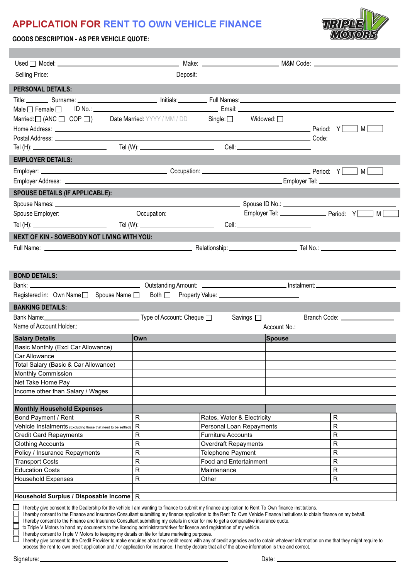## **APPLICATION FOR RENT TO OWN VEHICLE FINANCE**



**GOODS DESCRIPTION - AS PER VEHICLE QUOTE:**

I

| <b>PERSONAL DETAILS:</b>                                                                                                                                                                                                                                                                                                                                                                                                                                                                                                                                                                                                                                                                                                                                                                                                                                                                                                                                                                                                                                       |              |                             |                    |                                 |
|----------------------------------------------------------------------------------------------------------------------------------------------------------------------------------------------------------------------------------------------------------------------------------------------------------------------------------------------------------------------------------------------------------------------------------------------------------------------------------------------------------------------------------------------------------------------------------------------------------------------------------------------------------------------------------------------------------------------------------------------------------------------------------------------------------------------------------------------------------------------------------------------------------------------------------------------------------------------------------------------------------------------------------------------------------------|--------------|-----------------------------|--------------------|---------------------------------|
|                                                                                                                                                                                                                                                                                                                                                                                                                                                                                                                                                                                                                                                                                                                                                                                                                                                                                                                                                                                                                                                                |              |                             |                    |                                 |
|                                                                                                                                                                                                                                                                                                                                                                                                                                                                                                                                                                                                                                                                                                                                                                                                                                                                                                                                                                                                                                                                |              |                             |                    |                                 |
| Male $\square$ Female $\square$                                                                                                                                                                                                                                                                                                                                                                                                                                                                                                                                                                                                                                                                                                                                                                                                                                                                                                                                                                                                                                |              |                             |                    |                                 |
| Married: $\Box$ (ANC $\Box$ COP $\Box$ ) Date Married: YYYY / MM / DD Single: $\Box$                                                                                                                                                                                                                                                                                                                                                                                                                                                                                                                                                                                                                                                                                                                                                                                                                                                                                                                                                                           |              |                             | Widowed: $\square$ |                                 |
| Home Address: $\sqrt{M}$ M $\sqrt{M}$                                                                                                                                                                                                                                                                                                                                                                                                                                                                                                                                                                                                                                                                                                                                                                                                                                                                                                                                                                                                                          |              |                             |                    |                                 |
| Tel (H): _______________________________  Tel (W): _____________________________                                                                                                                                                                                                                                                                                                                                                                                                                                                                                                                                                                                                                                                                                                                                                                                                                                                                                                                                                                               |              |                             |                    | Code: _________________________ |
| <b>EMPLOYER DETAILS:</b>                                                                                                                                                                                                                                                                                                                                                                                                                                                                                                                                                                                                                                                                                                                                                                                                                                                                                                                                                                                                                                       |              |                             |                    |                                 |
|                                                                                                                                                                                                                                                                                                                                                                                                                                                                                                                                                                                                                                                                                                                                                                                                                                                                                                                                                                                                                                                                |              |                             |                    |                                 |
|                                                                                                                                                                                                                                                                                                                                                                                                                                                                                                                                                                                                                                                                                                                                                                                                                                                                                                                                                                                                                                                                |              |                             |                    |                                 |
|                                                                                                                                                                                                                                                                                                                                                                                                                                                                                                                                                                                                                                                                                                                                                                                                                                                                                                                                                                                                                                                                |              |                             |                    |                                 |
| <b>SPOUSE DETAILS (IF APPLICABLE):</b>                                                                                                                                                                                                                                                                                                                                                                                                                                                                                                                                                                                                                                                                                                                                                                                                                                                                                                                                                                                                                         |              |                             |                    |                                 |
|                                                                                                                                                                                                                                                                                                                                                                                                                                                                                                                                                                                                                                                                                                                                                                                                                                                                                                                                                                                                                                                                |              |                             |                    |                                 |
|                                                                                                                                                                                                                                                                                                                                                                                                                                                                                                                                                                                                                                                                                                                                                                                                                                                                                                                                                                                                                                                                |              |                             |                    | M                               |
|                                                                                                                                                                                                                                                                                                                                                                                                                                                                                                                                                                                                                                                                                                                                                                                                                                                                                                                                                                                                                                                                |              |                             |                    |                                 |
| NEXT OF KIN - SOMEBODY NOT LIVING WITH YOU:                                                                                                                                                                                                                                                                                                                                                                                                                                                                                                                                                                                                                                                                                                                                                                                                                                                                                                                                                                                                                    |              |                             |                    |                                 |
|                                                                                                                                                                                                                                                                                                                                                                                                                                                                                                                                                                                                                                                                                                                                                                                                                                                                                                                                                                                                                                                                |              |                             |                    |                                 |
|                                                                                                                                                                                                                                                                                                                                                                                                                                                                                                                                                                                                                                                                                                                                                                                                                                                                                                                                                                                                                                                                |              |                             |                    |                                 |
|                                                                                                                                                                                                                                                                                                                                                                                                                                                                                                                                                                                                                                                                                                                                                                                                                                                                                                                                                                                                                                                                |              |                             |                    |                                 |
| <b>BOND DETAILS:</b>                                                                                                                                                                                                                                                                                                                                                                                                                                                                                                                                                                                                                                                                                                                                                                                                                                                                                                                                                                                                                                           |              |                             |                    |                                 |
|                                                                                                                                                                                                                                                                                                                                                                                                                                                                                                                                                                                                                                                                                                                                                                                                                                                                                                                                                                                                                                                                |              |                             |                    |                                 |
| Registered in: Own Name□ Spouse Name □                                                                                                                                                                                                                                                                                                                                                                                                                                                                                                                                                                                                                                                                                                                                                                                                                                                                                                                                                                                                                         |              |                             |                    |                                 |
| <b>BANKING DETAILS:</b>                                                                                                                                                                                                                                                                                                                                                                                                                                                                                                                                                                                                                                                                                                                                                                                                                                                                                                                                                                                                                                        |              |                             |                    |                                 |
| Bank Name:<br><del>──────────────</del> Type of Account: Cheque □                                                                                                                                                                                                                                                                                                                                                                                                                                                                                                                                                                                                                                                                                                                                                                                                                                                                                                                                                                                              |              |                             | Savings □          | Branch Code: __________________ |
|                                                                                                                                                                                                                                                                                                                                                                                                                                                                                                                                                                                                                                                                                                                                                                                                                                                                                                                                                                                                                                                                |              |                             |                    |                                 |
| <b>Salary Details</b>                                                                                                                                                                                                                                                                                                                                                                                                                                                                                                                                                                                                                                                                                                                                                                                                                                                                                                                                                                                                                                          | <b>Own</b>   |                             | Spouse             |                                 |
| Basic Monthly (Excl Car Allowance)                                                                                                                                                                                                                                                                                                                                                                                                                                                                                                                                                                                                                                                                                                                                                                                                                                                                                                                                                                                                                             |              |                             |                    |                                 |
| Car Allowance                                                                                                                                                                                                                                                                                                                                                                                                                                                                                                                                                                                                                                                                                                                                                                                                                                                                                                                                                                                                                                                  |              |                             |                    |                                 |
| Total Salary (Basic & Car Allowance)                                                                                                                                                                                                                                                                                                                                                                                                                                                                                                                                                                                                                                                                                                                                                                                                                                                                                                                                                                                                                           |              |                             |                    |                                 |
| Monthly Commission                                                                                                                                                                                                                                                                                                                                                                                                                                                                                                                                                                                                                                                                                                                                                                                                                                                                                                                                                                                                                                             |              |                             |                    |                                 |
| Net Take Home Pay                                                                                                                                                                                                                                                                                                                                                                                                                                                                                                                                                                                                                                                                                                                                                                                                                                                                                                                                                                                                                                              |              |                             |                    |                                 |
| Income other than Salary / Wages                                                                                                                                                                                                                                                                                                                                                                                                                                                                                                                                                                                                                                                                                                                                                                                                                                                                                                                                                                                                                               |              |                             |                    |                                 |
|                                                                                                                                                                                                                                                                                                                                                                                                                                                                                                                                                                                                                                                                                                                                                                                                                                                                                                                                                                                                                                                                |              |                             |                    |                                 |
| <b>Monthly Household Expenses</b><br>Bond Payment / Rent                                                                                                                                                                                                                                                                                                                                                                                                                                                                                                                                                                                                                                                                                                                                                                                                                                                                                                                                                                                                       | R            | Rates, Water & Electricity  |                    | R                               |
| Vehicle Instalments (Excluding those that need to be settled)                                                                                                                                                                                                                                                                                                                                                                                                                                                                                                                                                                                                                                                                                                                                                                                                                                                                                                                                                                                                  | $\mathsf{R}$ | Personal Loan Repayments    |                    | R                               |
| <b>Credit Card Repayments</b>                                                                                                                                                                                                                                                                                                                                                                                                                                                                                                                                                                                                                                                                                                                                                                                                                                                                                                                                                                                                                                  | $\mathsf{R}$ | <b>Furniture Accounts</b>   |                    | R                               |
| <b>Clothing Accounts</b>                                                                                                                                                                                                                                                                                                                                                                                                                                                                                                                                                                                                                                                                                                                                                                                                                                                                                                                                                                                                                                       | ${\sf R}$    | <b>Overdraft Repayments</b> |                    | R                               |
| Policy / Insurance Repayments                                                                                                                                                                                                                                                                                                                                                                                                                                                                                                                                                                                                                                                                                                                                                                                                                                                                                                                                                                                                                                  | $\mathsf{R}$ | <b>Telephone Payment</b>    |                    | $\mathsf{R}$                    |
| <b>Transport Costs</b>                                                                                                                                                                                                                                                                                                                                                                                                                                                                                                                                                                                                                                                                                                                                                                                                                                                                                                                                                                                                                                         | ${\sf R}$    | Food and Entertainment      |                    | ${\sf R}$                       |
| <b>Education Costs</b>                                                                                                                                                                                                                                                                                                                                                                                                                                                                                                                                                                                                                                                                                                                                                                                                                                                                                                                                                                                                                                         | R            | Maintenance                 |                    | R                               |
| <b>Household Expenses</b>                                                                                                                                                                                                                                                                                                                                                                                                                                                                                                                                                                                                                                                                                                                                                                                                                                                                                                                                                                                                                                      | R            | Other                       |                    | R                               |
|                                                                                                                                                                                                                                                                                                                                                                                                                                                                                                                                                                                                                                                                                                                                                                                                                                                                                                                                                                                                                                                                |              |                             |                    |                                 |
| $ $ Household Surplus / Disposable Income $ \, {\sf R}$                                                                                                                                                                                                                                                                                                                                                                                                                                                                                                                                                                                                                                                                                                                                                                                                                                                                                                                                                                                                        |              |                             |                    |                                 |
| I hereby give consent to the Dealership for the vehicle I am wanting to finance to submit my finance application to Rent To Own finance institutions.<br>I hereby consent to the Finance and Insurance Consultant submitting my finance application to the Rent To Own Vehicle Finance Insitutions to obtain finance on my behalf.<br>I hereby consent to the Finance and Insurance Consultant submitting my details in order for me to get a comparative insurance quote.<br>to Triple V Motors to hand my documents to the licencing administrator/driver for licence and registration of my vehicle.<br>I hereby consent to Triple V Motors to keeping my details on file for future marketing purposes.<br>I hereby give consent to the Credit Provider to make enquiries about my credit record with any of credit agencies and to obtain whatever information on me that they might require to<br>process the rent to own credit application and / or application for insurance. I hereby declare that all of the above information is true and correct. |              |                             |                    |                                 |
| Signature:                                                                                                                                                                                                                                                                                                                                                                                                                                                                                                                                                                                                                                                                                                                                                                                                                                                                                                                                                                                                                                                     |              |                             | Date: $\_\_$       |                                 |